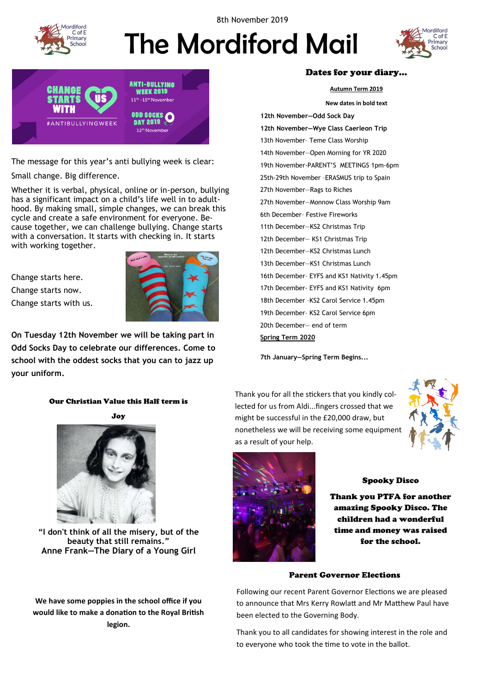

8th November 2019

# The Mordiford Mail





The message for this year's anti bullying week is clear:

Small change. Big difference.

Whether it is verbal, physical, online or in-person, bullying has a significant impact on a child's life well in to adulthood. By making small, simple changes, we can break this cycle and create a safe environment for everyone. Because together, we can challenge bullying. Change starts with a conversation. It starts with checking in. It starts with working together.

Change starts here. Change starts now. Change starts with us.



**On Tuesday 12th November we will be taking part in Odd Socks Day to celebrate our differences. Come to school with the oddest socks that you can to jazz up your uniform.**

## Our Christian Value this Half term is

Joy



**"I don't think of all the misery, but of the beauty that still remains." Anne Frank[—The Diary of a Young Girl](https://www.goodreads.com/work/quotes/3532896)**

**We have some poppies in the school office if you would like to make a donation to the Royal British legion.**

## Dates for your diary…

**Autumn Term 2019**

**New dates in bold text 12th November—Odd Sock Day 12th November—Wye Class Caerleon Trip** 13th November– Teme Class Worship 14th November—Open Morning for YR 2020 19th November-PARENT'S MEETINGS 1pm-6pm 25th-29th November –ERASMUS trip to Spain 27th November—Rags to Riches 27th November—Monnow Class Worship 9am 6th December– Festive Fireworks 11th December—KS2 Christmas Trip 12th December— KS1 Christmas Trip 12th December—KS2 Christmas Lunch 13th December—KS1 Christmas Lunch 16th December– EYFS and KS1 Nativity 1.45pm 17th December- EYFS and KS1 Nativity 6pm 18th December –KS2 Carol Service 1.45pm 19th December– KS2 Carol Service 6pm 20th December— end of term

**Spring Term 2020**

**7th January—Spring Term Begins...**

Thank you for all the stickers that you kindly collected for us from Aldi...fingers crossed that we might be successful in the £20,000 draw, but nonetheless we will be receiving some equipment as a result of your help.





## Spooky Disco

Thank you PTFA for another amazing Spooky Disco. The children had a wonderful time and money was raised for the school.

## Parent Governor Elections

Following our recent Parent Governor Elections we are pleased to announce that Mrs Kerry Rowlatt and Mr Matthew Paul have been elected to the Governing Body.

Thank you to all candidates for showing interest in the role and to everyone who took the time to vote in the ballot.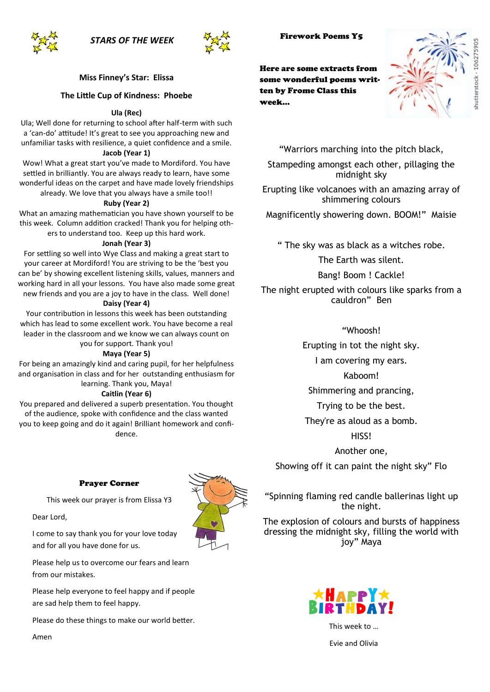*STARS OF THE WEEK*



## **Miss Finney's Star: Elissa**

## **The Little Cup of Kindness: Phoebe**

#### **Ula (Rec)**

Ula; Well done for returning to school after half-term with such a 'can-do' attitude! It's great to see you approaching new and unfamiliar tasks with resilience, a quiet confidence and a smile.

#### **Jacob (Year 1)**

Wow! What a great start you've made to Mordiford. You have settled in brilliantly. You are always ready to learn, have some wonderful ideas on the carpet and have made lovely friendships already. We love that you always have a smile too!!

#### **Ruby (Year 2)**

What an amazing mathematician you have shown yourself to be this week. Column addition cracked! Thank you for helping others to understand too. Keep up this hard work.

#### **Jonah (Year 3)**

For settling so well into Wye Class and making a great start to your career at Mordiford! You are striving to be the 'best you can be' by showing excellent listening skills, values, manners and working hard in all your lessons. You have also made some great new friends and you are a joy to have in the class. Well done!

## **Daisy (Year 4)**

Your contribution in lessons this week has been outstanding which has lead to some excellent work. You have become a real leader in the classroom and we know we can always count on

## you for support. Thank you!

## **Maya (Year 5)**

For being an amazingly kind and caring pupil, for her helpfulness and organisation in class and for her outstanding enthusiasm for learning. Thank you, Maya!

#### **Caitlin (Year 6)**

You prepared and delivered a superb presentation. You thought of the audience, spoke with confidence and the class wanted you to keep going and do it again! Brilliant homework and confidence.

#### Prayer Corner

This week our prayer is from Elissa Y3

Dear Lord,

I come to say thank you for your love today and for all you have done for us.

Please help us to overcome our fears and learn from our mistakes.

Please help everyone to feel happy and if people are sad help them to feel happy.

Please do these things to make our world better.





Here are some extracts from some wonderful poems written by Frome Class this week…

"Warriors marching into the pitch black,

Stampeding amongst each other, pillaging the midnight sky

Erupting like volcanoes with an amazing array of shimmering colours

Magnificently showering down. BOOM!" Maisie

" The sky was as black as a witches robe.

The Earth was silent.

Bang! Boom ! Cackle!

The night erupted with colours like sparks from a cauldron" Ben

## "Whoosh!

Erupting in tot the night sky.

I am covering my ears.

Kaboom!

Shimmering and prancing,

Trying to be the best.

They're as aloud as a bomb.

HISS!

Another one,

Showing off it can paint the night sky" Flo

"Spinning flaming red candle ballerinas light up the night.

The explosion of colours and bursts of happiness dressing the midnight sky, filling the world with joy" Maya



This week to …

Evie and Olivia